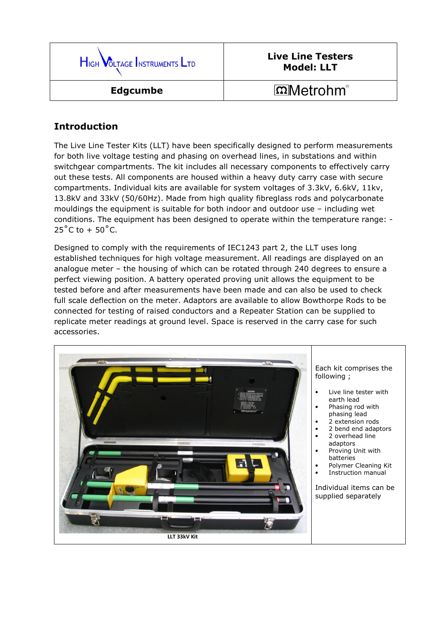

## Live Line Testers Model: LLT

## $m$ Metrohm®

## Introduction

The Live Line Tester Kits (LLT) have been specifically designed to perform measurements for both live voltage testing and phasing on overhead lines, in substations and within switchgear compartments. The kit includes all necessary components to effectively carry out these tests. All components are housed within a heavy duty carry case with secure compartments. Individual kits are available for system voltages of 3.3kV, 6.6kV, 11kv, 13.8kV and 33kV (50/60Hz). Made from high quality fibreglass rods and polycarbonate mouldings the equipment is suitable for both indoor and outdoor use – including wet conditions. The equipment has been designed to operate within the temperature range: -  $25^{\circ}$ C to +  $50^{\circ}$ C.

Designed to comply with the requirements of IEC1243 part 2, the LLT uses long established techniques for high voltage measurement. All readings are displayed on an analogue meter – the housing of which can be rotated through 240 degrees to ensure a perfect viewing position. A battery operated proving unit allows the equipment to be tested before and after measurements have been made and can also be used to check full scale deflection on the meter. Adaptors are available to allow Bowthorpe Rods to be connected for testing of raised conductors and a Repeater Station can be supplied to replicate meter readings at ground level. Space is reserved in the carry case for such accessories.